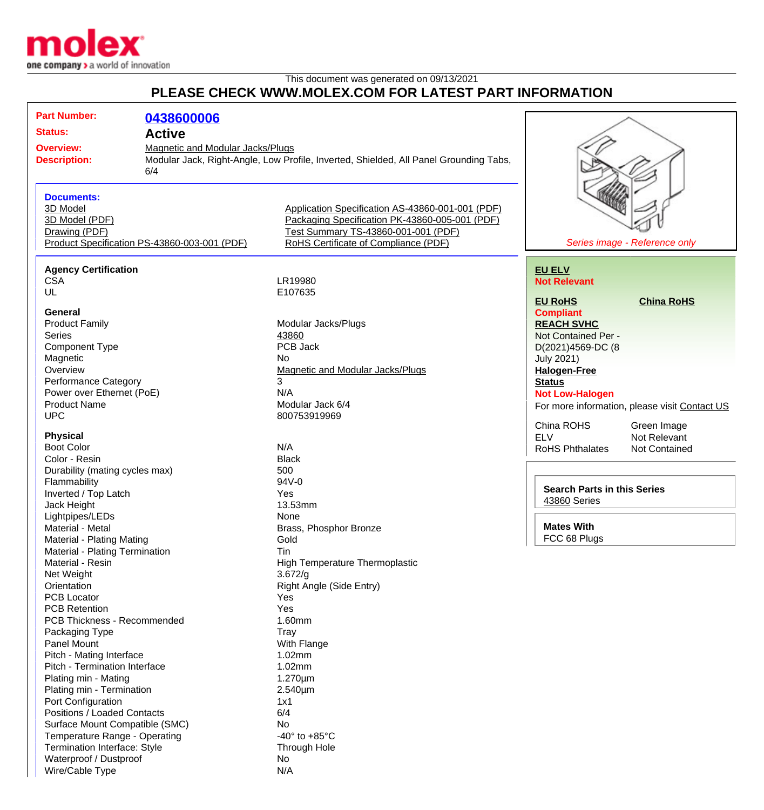

Wire/Cable Type N/A

## This document was generated on 09/13/2021 **PLEASE CHECK WWW.MOLEX.COM FOR LATEST PART INFORMATION**

| <b>Part Number:</b>                                                                                                                                      | 0438600006                                                                                                                              |                                                                                                                                                                                   |                                                                                                                                                                                            |                                                                                                      |
|----------------------------------------------------------------------------------------------------------------------------------------------------------|-----------------------------------------------------------------------------------------------------------------------------------------|-----------------------------------------------------------------------------------------------------------------------------------------------------------------------------------|--------------------------------------------------------------------------------------------------------------------------------------------------------------------------------------------|------------------------------------------------------------------------------------------------------|
| <b>Status:</b>                                                                                                                                           | <b>Active</b>                                                                                                                           |                                                                                                                                                                                   |                                                                                                                                                                                            |                                                                                                      |
| <b>Overview:</b><br><b>Description:</b>                                                                                                                  | <b>Magnetic and Modular Jacks/Plugs</b><br>Modular Jack, Right-Angle, Low Profile, Inverted, Shielded, All Panel Grounding Tabs,<br>6/4 |                                                                                                                                                                                   |                                                                                                                                                                                            |                                                                                                      |
| <b>Documents:</b><br>3D Model<br>3D Model (PDF)<br>Drawing (PDF)                                                                                         | Product Specification PS-43860-003-001 (PDF)                                                                                            | Application Specification AS-43860-001-001 (PDF)<br>Packaging Specification PK-43860-005-001 (PDF)<br>Test Summary TS-43860-001-001 (PDF)<br>RoHS Certificate of Compliance (PDF) |                                                                                                                                                                                            | Series image - Reference only                                                                        |
| <b>Agency Certification</b><br><b>CSA</b><br>UL                                                                                                          |                                                                                                                                         | LR19980<br>E107635                                                                                                                                                                | <b>EU ELV</b><br><b>Not Relevant</b>                                                                                                                                                       |                                                                                                      |
| General<br><b>Product Family</b><br><b>Series</b><br><b>Component Type</b><br>Magnetic<br>Overview<br>Performance Category<br>Power over Ethernet (PoE)  |                                                                                                                                         | Modular Jacks/Plugs<br>43860<br>PCB Jack<br>No<br><b>Magnetic and Modular Jacks/Plugs</b><br>3<br>N/A                                                                             | <b>EU RoHS</b><br><b>Compliant</b><br><b>REACH SVHC</b><br>Not Contained Per -<br>D(2021)4569-DC (8<br><b>July 2021)</b><br><b>Halogen-Free</b><br><b>Status</b><br><b>Not Low-Halogen</b> | <b>China RoHS</b>                                                                                    |
| <b>Product Name</b><br><b>UPC</b><br><b>Physical</b><br><b>Boot Color</b>                                                                                |                                                                                                                                         | Modular Jack 6/4<br>800753919969<br>N/A                                                                                                                                           | China ROHS<br><b>ELV</b><br><b>RoHS Phthalates</b>                                                                                                                                         | For more information, please visit Contact US<br>Green Image<br>Not Relevant<br><b>Not Contained</b> |
| Color - Resin<br>Durability (mating cycles max)<br>Flammability<br>Inverted / Top Latch<br>Jack Height<br>Lightpipes/LEDs                                |                                                                                                                                         | <b>Black</b><br>500<br>94V-0<br>Yes<br>13.53mm<br>None                                                                                                                            | <b>Search Parts in this Series</b><br>43860 Series                                                                                                                                         |                                                                                                      |
| Material - Metal<br>Material - Plating Mating<br>Material - Plating Termination<br>Material - Resin<br>Net Weight<br>Orientation                         |                                                                                                                                         | Brass, Phosphor Bronze<br>Gold<br>Tin<br>High Temperature Thermoplastic<br>3.672/g<br>Right Angle (Side Entry)                                                                    | <b>Mates With</b><br>FCC 68 Plugs                                                                                                                                                          |                                                                                                      |
| <b>PCB Locator</b><br><b>PCB Retention</b><br>PCB Thickness - Recommended<br>Packaging Type<br><b>Panel Mount</b>                                        |                                                                                                                                         | Yes<br>Yes<br>1.60mm<br>Tray<br>With Flange                                                                                                                                       |                                                                                                                                                                                            |                                                                                                      |
| Pitch - Mating Interface<br>Pitch - Termination Interface<br>Plating min - Mating<br>Plating min - Termination<br>Port Configuration                     |                                                                                                                                         | 1.02mm<br>1.02mm<br>$1.270 \mu m$<br>$2.540 \mu m$<br>1x1                                                                                                                         |                                                                                                                                                                                            |                                                                                                      |
| Positions / Loaded Contacts<br>Surface Mount Compatible (SMC)<br>Temperature Range - Operating<br>Termination Interface: Style<br>Waterproof / Dustproof |                                                                                                                                         | 6/4<br>No<br>-40 $\degree$ to +85 $\degree$ C<br>Through Hole<br>No                                                                                                               |                                                                                                                                                                                            |                                                                                                      |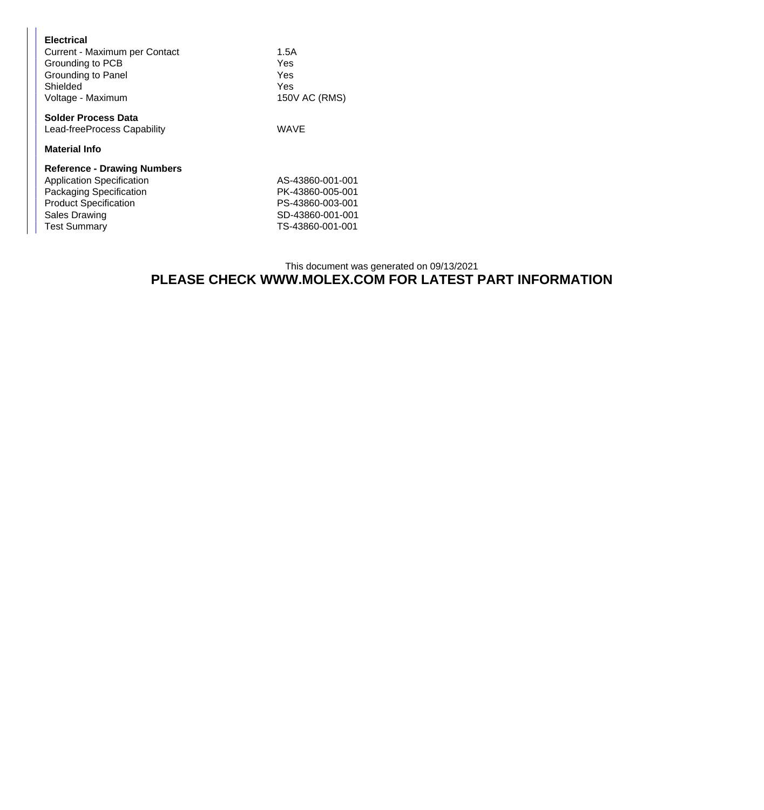| <b>Electrical</b><br>Current - Maximum per Contact<br>Grounding to PCB<br>Grounding to Panel<br>Shielded<br>Voltage - Maximum | 1.5A<br>Yes<br>Yes<br>Yes<br>150V AC (RMS) |  |  |  |
|-------------------------------------------------------------------------------------------------------------------------------|--------------------------------------------|--|--|--|
| <b>Solder Process Data</b><br>Lead-freeProcess Capability                                                                     | WAVE                                       |  |  |  |
| <b>Material Info</b>                                                                                                          |                                            |  |  |  |
| <b>Reference - Drawing Numbers</b>                                                                                            |                                            |  |  |  |
| <b>Application Specification</b>                                                                                              | AS-43860-001-001                           |  |  |  |
| Packaging Specification                                                                                                       | PK-43860-005-001                           |  |  |  |
| <b>Product Specification</b>                                                                                                  | PS-43860-003-001                           |  |  |  |
| Sales Drawing                                                                                                                 | SD-43860-001-001                           |  |  |  |
| <b>Test Summary</b>                                                                                                           | TS-43860-001-001                           |  |  |  |

## This document was generated on 09/13/2021 **PLEASE CHECK WWW.MOLEX.COM FOR LATEST PART INFORMATION**